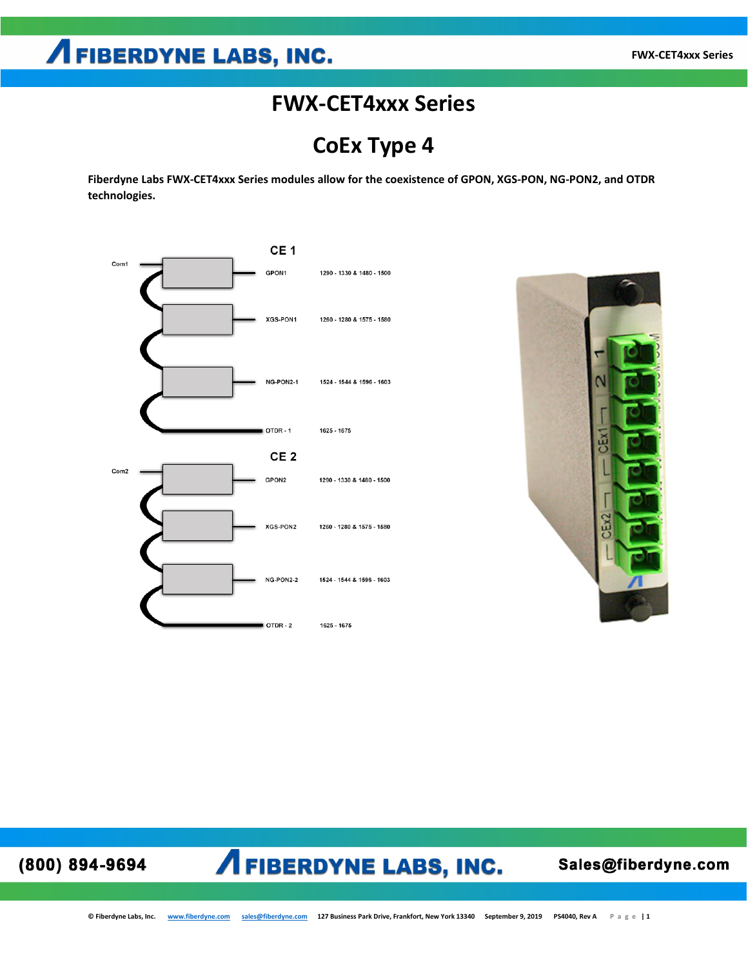### **AFIBERDYNE LABS, INC.**

### **FWX-CET4xxx Series**

**CoEx Type 4**

**Fiberdyne Labs FWX-CET4xxx Series modules allow for the coexistence of GPON, XGS-PON, NG-PON2, and OTDR technologies.**





#### **AFIBERDYNE LABS, INC.** (800) 894-9694

Sales@fiberdyne.com

**© Fiberdyne Labs, Inc. [www.fiberdyne.com](http://www.fiberdyne.com/) [sales@fiberdyne.com](mailto:sales@fiberdyne.com) 127 Business Park Drive, Frankfort, New York 13340 September 9, 2019 PS4040, Rev A Page | 1**